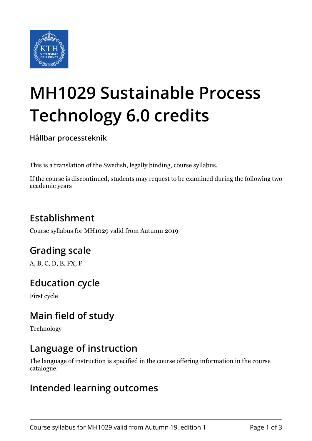

# **MH1029 Sustainable Process Technology 6.0 credits**

**Hållbar processteknik**

This is a translation of the Swedish, legally binding, course syllabus.

If the course is discontinued, students may request to be examined during the following two academic years

# **Establishment**

Course syllabus for MH1029 valid from Autumn 2019

# **Grading scale**

A, B, C, D, E, FX, F

# **Education cycle**

First cycle

# **Main field of study**

Technology

# **Language of instruction**

The language of instruction is specified in the course offering information in the course catalogue.

### **Intended learning outcomes**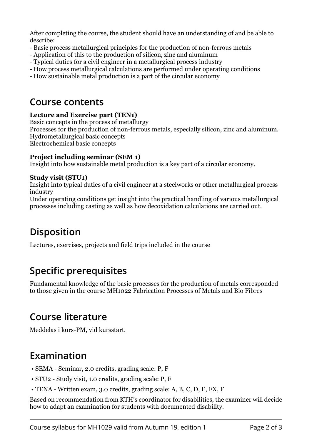After completing the course, the student should have an understanding of and be able to describe:

- Basic process metallurgical principles for the production of non-ferrous metals
- Application of this to the production of silicon, zinc and aluminum
- Typical duties for a civil engineer in a metallurgical process industry
- How process metallurgical calculations are performed under operating conditions

- How sustainable metal production is a part of the circular economy

### **Course contents**

#### **Lecture and Exercise part (TEN1)**

Basic concepts in the process of metallurgy Processes for the production of non-ferrous metals, especially silicon, zinc and aluminum. Hydrometallurgical basic concepts Electrochemical basic concepts

#### **Project including seminar (SEM 1)**

Insight into how sustainable metal production is a key part of a circular economy.

#### **Study visit (STU1)**

Insight into typical duties of a civil engineer at a steelworks or other metallurgical process industry

Under operating conditions get insight into the practical handling of various metallurgical processes including casting as well as how decoxidation calculations are carried out.

# **Disposition**

Lectures, exercises, projects and field trips included in the course

# **Specific prerequisites**

Fundamental knowledge of the basic processes for the production of metals corresponded to those given in the course MH1022 Fabrication Processes of Metals and Bio Fibres

### **Course literature**

Meddelas i kurs-PM, vid kursstart.

# **Examination**

- SEMA Seminar, 2.0 credits, grading scale: P, F
- STU2 Study visit, 1.0 credits, grading scale: P, F
- TENA Written exam, 3.0 credits, grading scale: A, B, C, D, E, FX, F

Based on recommendation from KTH's coordinator for disabilities, the examiner will decide how to adapt an examination for students with documented disability.